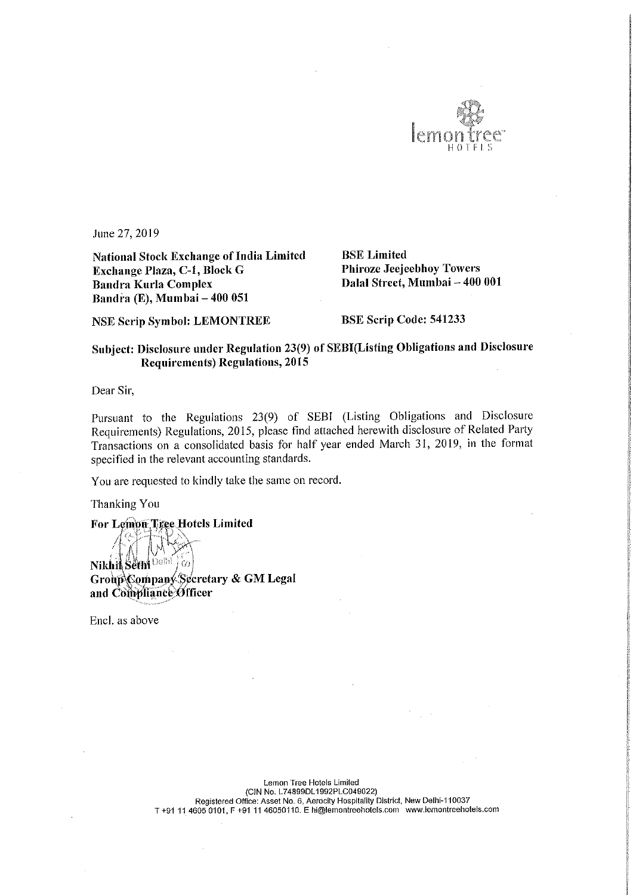

June 27, 2019

National Stock Exchange of India Limited<br> **Exchange Plaza, C-1, Block G** Phiroze Jeejeebhoy Towers Exchange Plaza, C-1, Block G Bandra Kurla Complex Bandra (E), Mumbai – 400 051

Dalal Street, Mumbai - 400 001

NSE Scrip Symbol: LEMONTREE BSE Scrip Code: 541233

## Subject: Disclosure under Regulation 23(9) of SEBI(Listing Obligations and Disclosure Requirements) Regulations, 2015

Dear Sir,

Pursuant to the Regulations 23(9) of SEBl (Listing Obligations and Disclosure Requirements) Regulations, 2015, please find attached herewith disclosure of Related Party Transactions on <sup>a</sup> consolidated basis for half year ended March 31, 2019, in the format specified in the relevant accounting standards.

You are requested to kindly take the same on record.

Thanking You<br>For Lemon Tiges Hotels Limited

runny<br>Group , ' and Compliance Officer

Encl. as above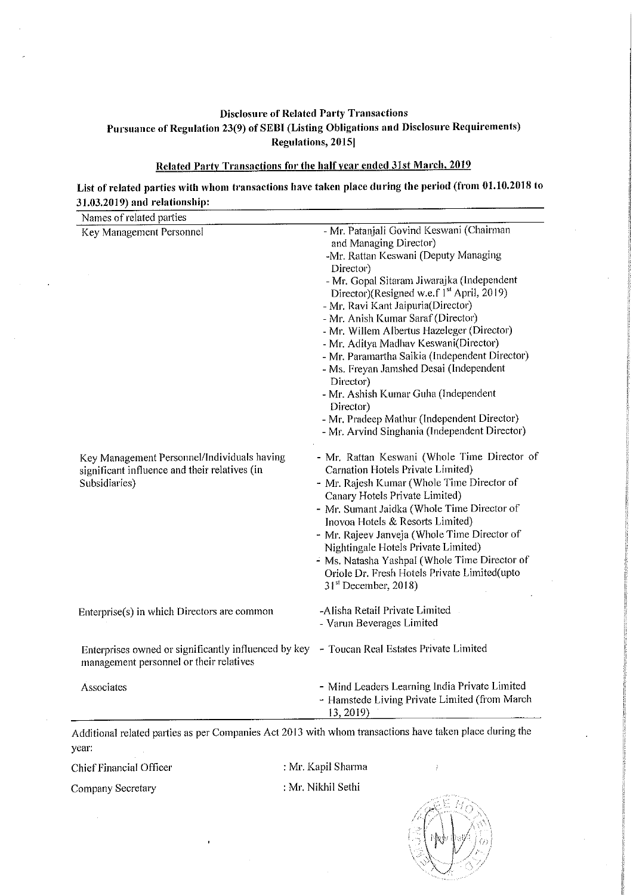## Disclosure of Related Party Transactions Pursuance of Regulation 23(9) of SEBI (Listing Obligations and Disclosure Requirements) Regulations, 2015]

## Related Party Transactions for the half year ended 31st March, 2019

## List of related parties with whom transactions have taken place during the period (from 01.10.2018 to 31.03.2019) and relationship:

| Names of related parties                                                                                      |                                                                                                                                                                                                                                                                                                                                                                                                                                                                                                                                                                                                                                                                  |
|---------------------------------------------------------------------------------------------------------------|------------------------------------------------------------------------------------------------------------------------------------------------------------------------------------------------------------------------------------------------------------------------------------------------------------------------------------------------------------------------------------------------------------------------------------------------------------------------------------------------------------------------------------------------------------------------------------------------------------------------------------------------------------------|
| Key Management Personnel                                                                                      | - Mr. Patanjali Govind Keswani (Chairman<br>and Managing Director)<br>-Mr. Rattan Keswani (Deputy Managing<br>Director)<br>- Mr. Gopal Sitaram Jiwarajka (Independent<br>Director)(Resigned w.e.f 1 <sup>st</sup> April, 2019)<br>- Mr. Ravi Kant Jaipuria(Director)<br>- Mr. Anish Kumar Saraf (Director)<br>- Mr. Willem Albertus Hazeleger (Director)<br>- Mr. Aditya Madhav Keswani(Director)<br>- Mr. Paramartha Saikia (Independent Director)<br>- Ms. Freyan Jamshed Desai (Independent<br>Director)<br>- Mr. Ashish Kumar Guha (Independent<br>Director)<br>- Mr. Pradeep Mathur (Independent Director)<br>- Mr. Arvind Singhania (Independent Director) |
| Key Management Personnel/Individuals having<br>significant influence and their relatives (in<br>Subsidiaries) | - Mr. Rattan Keswani (Whole Time Director of<br>Carnation Hotels Private Limited)<br>- Mr. Rajesh Kumar (Whole Time Director of<br>Canary Hotels Private Limited)<br>- Mr. Sumant Jaidka (Whole Time Director of<br>Inovoa Hotels & Resorts Limited)<br>- Mr. Rajeev Janveja (Whole Time Director of<br>Nightingale Hotels Private Limited)<br>- Ms. Natasha Yashpal (Whole Time Director of<br>Oriole Dr. Fresh Hotels Private Limited(upto<br>$31st$ December, 2018)                                                                                                                                                                                           |
| Enterprise(s) in which Directors are common                                                                   | -Alisha Retail Private Limited<br>- Varun Beverages Limited                                                                                                                                                                                                                                                                                                                                                                                                                                                                                                                                                                                                      |
| Enterprises owned or significantly influenced by key<br>management personnel or their relatives               | - Toucan Real Estates Private Limited                                                                                                                                                                                                                                                                                                                                                                                                                                                                                                                                                                                                                            |
| Associates                                                                                                    | - Mind Leaders Learning India Private Limited<br>- Hamstede Living Private Limited (from March<br>13, 2019)                                                                                                                                                                                                                                                                                                                                                                                                                                                                                                                                                      |

Additional related patties as per Companies Act <sup>2013</sup> with whom transactions have taken place during the year:

Chief Financial Officer : Mr. Kapil Sharma

Company Secretary : Mr. Nikhil Sethi

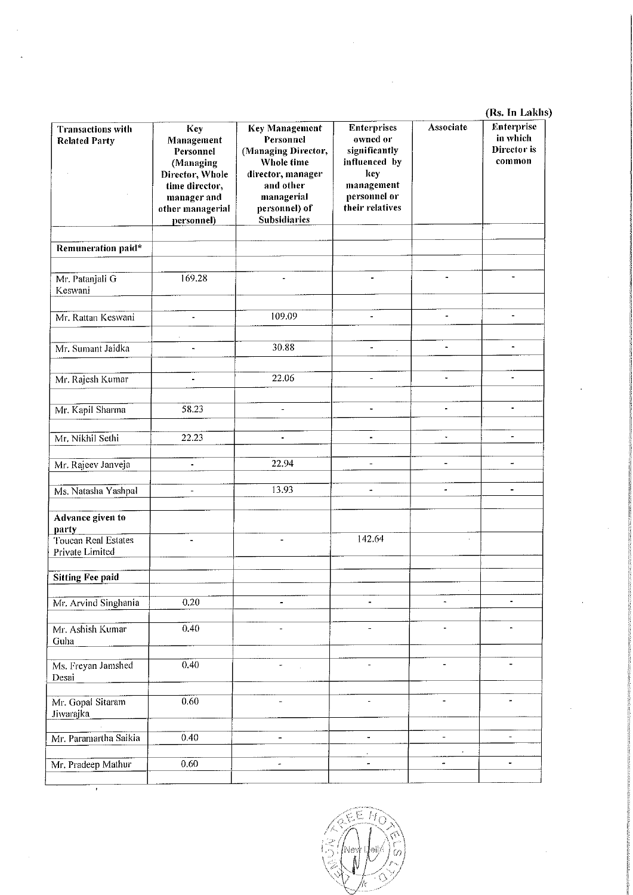|                                                  |                                                                                                                                   | (Rs. In Lakhs)                                                                                                                                                  |                                                                                                                          |                              |                                                 |
|--------------------------------------------------|-----------------------------------------------------------------------------------------------------------------------------------|-----------------------------------------------------------------------------------------------------------------------------------------------------------------|--------------------------------------------------------------------------------------------------------------------------|------------------------------|-------------------------------------------------|
| <b>Transactions with</b><br><b>Related Party</b> | Key<br>Management<br>Personnel<br>(Managing<br>Director, Whole<br>time director,<br>manager and<br>other managerial<br>personnel) | <b>Key Management</b><br>Personnel<br>(Managing Director,<br>Whole time<br>director, manager<br>and other<br>managerial<br>personnel) of<br><b>Subsidiaries</b> | <b>Enterprises</b><br>owned or<br>significantly<br>influenced by<br>key<br>management<br>personnel or<br>their relatives | Associate                    | Enterprise<br>in which<br>Director is<br>common |
|                                                  |                                                                                                                                   |                                                                                                                                                                 |                                                                                                                          |                              |                                                 |
| Remuneration paid*                               |                                                                                                                                   |                                                                                                                                                                 |                                                                                                                          |                              |                                                 |
| Mr. Patanjali G<br>Keswani                       | 169.28                                                                                                                            | $\blacksquare$                                                                                                                                                  | ä,                                                                                                                       | $\frac{1}{2}$                | $\blacksquare$                                  |
| Mr. Rattan Keswani                               | L.                                                                                                                                | 109.09                                                                                                                                                          | $\blacksquare$                                                                                                           | ÷,                           | $\blacksquare$                                  |
|                                                  |                                                                                                                                   |                                                                                                                                                                 |                                                                                                                          |                              |                                                 |
| Mr. Sumant Jaidka                                | $\overline{a}$                                                                                                                    | 30.88                                                                                                                                                           | $\blacksquare$                                                                                                           | $\bullet$                    | ÷                                               |
|                                                  |                                                                                                                                   |                                                                                                                                                                 |                                                                                                                          |                              |                                                 |
| Mr. Rajesh Kumar                                 | $\blacksquare$                                                                                                                    | 22.06                                                                                                                                                           | $\overline{\phantom{a}}$                                                                                                 | L.                           |                                                 |
|                                                  |                                                                                                                                   |                                                                                                                                                                 |                                                                                                                          |                              |                                                 |
| Mr. Kapil Sharma                                 | 58.23                                                                                                                             |                                                                                                                                                                 |                                                                                                                          |                              | $\blacksquare$                                  |
| Mr. Nikhil Sethi                                 | 22.23                                                                                                                             | $\blacksquare$                                                                                                                                                  | $\blacksquare$                                                                                                           | $\overline{\phantom{a}}$     | -                                               |
|                                                  |                                                                                                                                   |                                                                                                                                                                 |                                                                                                                          |                              |                                                 |
| Mr. Rajeev Janveja                               | $\blacksquare$                                                                                                                    | 22.94                                                                                                                                                           | $\blacksquare$                                                                                                           | $\overline{\phantom{a}}$     | $\overline{\phantom{a}}$                        |
| Ms. Natasha Yashpal                              | ÷,                                                                                                                                | 13.93                                                                                                                                                           | $\blacksquare$                                                                                                           | $\blacksquare$               | $\blacksquare$                                  |
|                                                  |                                                                                                                                   |                                                                                                                                                                 |                                                                                                                          |                              |                                                 |
| Advance given to<br>party                        |                                                                                                                                   |                                                                                                                                                                 |                                                                                                                          |                              |                                                 |
| Toucan Real Estates<br>Private Limited           | $\overline{\phantom{a}}$                                                                                                          | $\overline{a}$                                                                                                                                                  | 142.64                                                                                                                   | $\hat{\mathbf{r}}$           |                                                 |
| <b>Sitting Fee paid</b>                          |                                                                                                                                   |                                                                                                                                                                 |                                                                                                                          |                              |                                                 |
|                                                  |                                                                                                                                   |                                                                                                                                                                 |                                                                                                                          |                              |                                                 |
| Mr. Arvind Singhania                             | 0.20                                                                                                                              | -                                                                                                                                                               |                                                                                                                          | $\blacksquare$               |                                                 |
| Mr. Ashish Kumar<br>Guha                         | 0.40                                                                                                                              | -                                                                                                                                                               | -                                                                                                                        | $\overline{\phantom{a}}$     | $\qquad \qquad \blacksquare$                    |
| Ms. Freyan Jamshed<br>Desai                      | 0.40                                                                                                                              | ÷                                                                                                                                                               |                                                                                                                          |                              |                                                 |
| Mr. Gopal Sitaram<br>Jiwarajka                   | 0.60                                                                                                                              | $\overline{\phantom{0}}$                                                                                                                                        | $\overline{a}$                                                                                                           | $\qquad \qquad \blacksquare$ | ÷                                               |
| Mr. Paramartha Saikia                            | 0.40                                                                                                                              | $\overline{a}$                                                                                                                                                  | $\blacksquare$                                                                                                           | $\overline{a}$               | $\qquad \qquad \blacksquare$                    |
|                                                  |                                                                                                                                   |                                                                                                                                                                 |                                                                                                                          | $\bullet$                    |                                                 |
| Mr. Pradeep Mathur                               | 0.60                                                                                                                              | ÷                                                                                                                                                               | -                                                                                                                        | $\overline{\phantom{a}}$     | $\blacksquare$                                  |
|                                                  |                                                                                                                                   |                                                                                                                                                                 |                                                                                                                          |                              |                                                 |

Ý

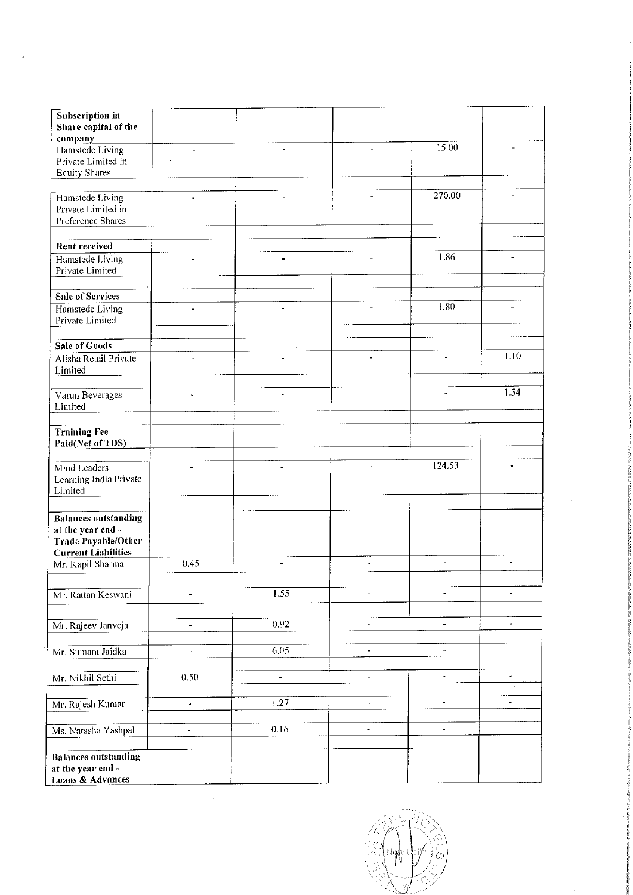| Subscription in<br>Share capital of the                                        |                          |                          |                          |                              |                                        |
|--------------------------------------------------------------------------------|--------------------------|--------------------------|--------------------------|------------------------------|----------------------------------------|
| company<br>Hamstede Living<br>Private Limited in<br><b>Equity Shares</b>       |                          |                          | $\blacksquare$           | 15.00                        |                                        |
|                                                                                |                          |                          |                          |                              |                                        |
| Hamstede Living<br>Private Limited in<br>Preference Shares                     | ä,                       | -                        | $\tilde{\phantom{a}}$    | 270.00                       |                                        |
|                                                                                |                          |                          |                          |                              |                                        |
| <b>Rent received</b>                                                           |                          |                          |                          | 1.86                         |                                        |
| Hamstede Living<br>Private Limited                                             |                          | $\blacksquare$           | ä,                       |                              | $\overline{a}$                         |
| <b>Sale of Services</b>                                                        |                          |                          |                          |                              |                                        |
| Hamstede Living<br>Private Limited                                             | $\equiv$                 | $\omega$                 | $\frac{1}{2}$            | 1.80                         | $\overline{\phantom{a}}$               |
| Sale of Goods                                                                  |                          |                          |                          |                              |                                        |
| Alisha Retail Private<br>Limited                                               | ä,                       |                          | ä,                       | $\blacksquare$               | 1.10                                   |
| Varun Beverages<br>Limited                                                     | u,                       | ÷                        | $\overline{a}$           |                              | 1.54                                   |
| <b>Training Fee</b><br>Paid(Net of TDS)                                        |                          |                          |                          |                              |                                        |
| Mind Leaders<br>Learning India Private<br>Limited                              | $\tilde{\phantom{a}}$    | $\overline{\phantom{a}}$ | $\overline{\phantom{a}}$ | 124.53                       |                                        |
|                                                                                |                          |                          |                          | $\cdot$                      |                                        |
| <b>Balances outstanding</b><br>at the year end -<br><b>Trade Payable/Other</b> |                          |                          |                          |                              |                                        |
| <b>Current Liabilities</b><br>Mr. Kapil Sharma                                 | 0.45                     | $\blacksquare$           | ä,                       | $\blacksquare$               | ä,                                     |
|                                                                                |                          |                          |                          |                              |                                        |
| Mr. Rattan Keswani                                                             |                          | 1.55                     |                          | $\overline{\phantom{a}}$     | $\qquad \qquad -$                      |
|                                                                                |                          |                          |                          |                              |                                        |
| Mr. Rajeev Janveja                                                             | $\blacksquare$           | 0.92                     | μ,                       | $\blacksquare$               | ۰                                      |
| Mr. Sumant Jaidka                                                              | $\overline{\phantom{a}}$ | 6.05                     | $\overline{\phantom{a}}$ | $\overline{a}$               | $\overline{\phantom{m}}$               |
|                                                                                |                          |                          |                          |                              |                                        |
| Mr. Nikhil Sethi                                                               | 0.50                     | $\overline{\phantom{a}}$ | $\overline{\phantom{a}}$ | $\frac{1}{2}$                | $\overline{\phantom{0}}$<br>$\epsilon$ |
| Mr. Rajesh Kumar                                                               | ä,                       | 1.27                     | $\blacksquare$           | $\blacksquare$<br>$\epsilon$ | ۰                                      |
| Ms. Natasha Yashpal                                                            | $\blacksquare$           | 0.16                     | $\blacksquare$           | $\blacksquare$               | $\qquad \qquad \blacksquare$           |
| <b>Balances outstanding</b><br>at the year end -<br>Loans & Advances           |                          |                          |                          |                              |                                        |

 $\ddot{\phantom{0}}$ 

|Nghi